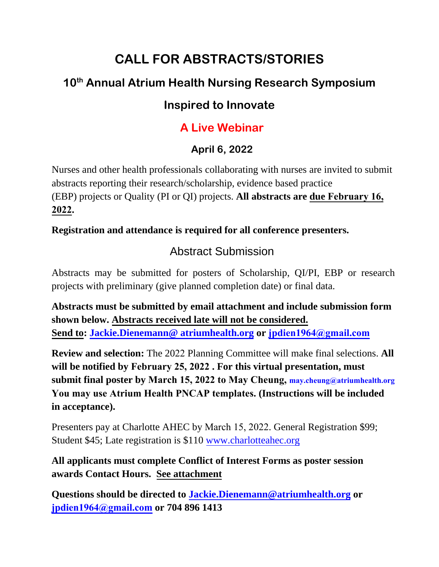# **CALL FOR ABSTRACTS/STORIES**

## **10th Annual Atrium Health Nursing Research Symposium**

### **Inspired to Innovate**

## **A Live Webinar**

### **April 6, 2022**

Nurses and other health professionals collaborating with nurses are invited to submit abstracts reporting their research/scholarship, evidence based practice (EBP) projects or Quality (PI or QI) projects. **All abstracts are due February 16, 2022.**

**Registration and attendance is required for all conference presenters.** 

## Abstract Submission

Abstracts may be submitted for posters of Scholarship, QI/PI, EBP or research projects with preliminary (give planned completion date) or final data.

**Abstracts must be submitted by email attachment and include submission form shown below. Abstracts received late will not be considered. Send to: [Jackie.Dienemann@ atriumhealth.org](mailto:Jackie.Dienemann@%20atriumhealth.org) or [jpdien1964@gmail.com](mailto:jpdien@mi-connection.com)**

**Review and selection:** The 2022 Planning Committee will make final selections. **All will be notified by February 25, 2022 . For this virtual presentation, must submit final poster by March 15, 2022 to May Cheung, may.cheung@atriumhealth.org You may use Atrium Health PNCAP templates. (Instructions will be included in acceptance).**

Presenters pay at Charlotte AHEC by [March 15, 2022](http://www.charlotteahec.org/). General Registration \$99; Student \$45; Late registration is \$110 www.charlotteahec.org

**All applicants must complete Conflict of Interest Forms as poster session awards Contact Hours. See attachment**

**[Questions should be directed](mailto:jpdien@mi-connection.com) to [Jackie.Dienemann@atriumhealth.org](mailto:Jackie.Dienemann@atriumhealth.org) or jpdien1964@gmail.com or 704 896 1413**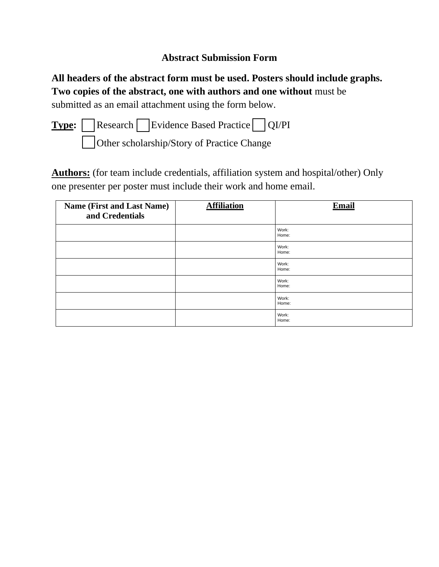### **Abstract Submission Form**

**All headers of the abstract form must be used. Posters should include graphs. Two copies of the abstract, one with authors and one without** must be submitted as an email attachment using the form below.

**Type:** Research Evidence Based Practice QI/PI Other scholarship/Story of Practice Change

**Authors:** (for team include credentials, affiliation system and hospital/other) Only one presenter per poster must include their work and home email.

| <b>Name (First and Last Name)</b><br>and Credentials | <b>Affiliation</b> | <b>Email</b>   |
|------------------------------------------------------|--------------------|----------------|
|                                                      |                    | Work:<br>Home: |
|                                                      |                    | Work:<br>Home: |
|                                                      |                    | Work:<br>Home: |
|                                                      |                    | Work:<br>Home: |
|                                                      |                    | Work:<br>Home: |
|                                                      |                    | Work:<br>Home: |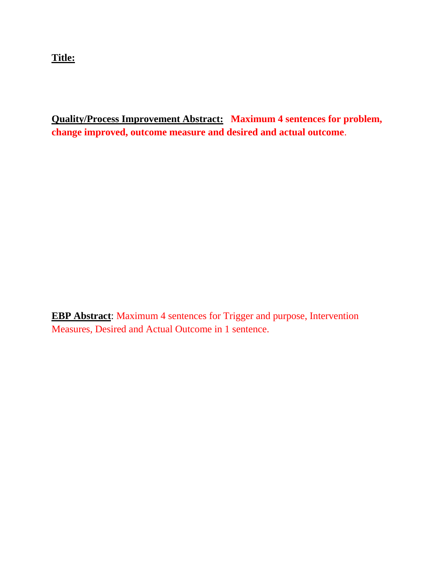**Title:** 

**Quality/Process Improvement Abstract: Maximum 4 sentences for problem, change improved, outcome measure and desired and actual outcome**.

**EBP Abstract**: Maximum 4 sentences for Trigger and purpose, Intervention Measures, Desired and Actual Outcome in 1 sentence.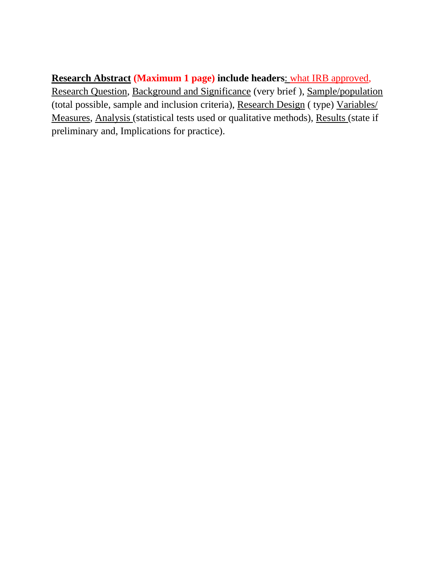### **Research Abstract (Maximum 1 page) include headers**: what IRB approved,

Research Question, Background and Significance (very brief ), Sample/population (total possible, sample and inclusion criteria), Research Design ( type) Variables/ Measures, Analysis (statistical tests used or qualitative methods), Results (state if preliminary and, Implications for practice).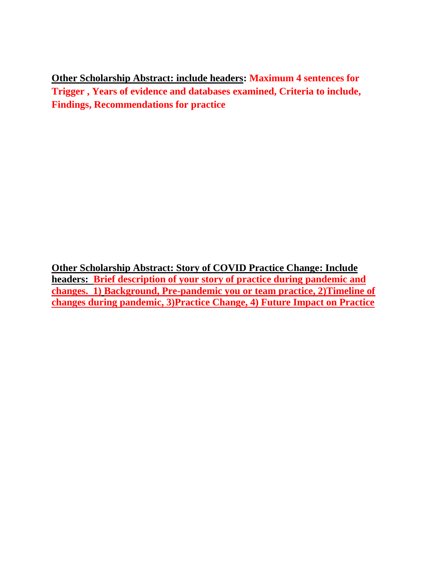**Other Scholarship Abstract: include headers: Maximum 4 sentences for Trigger , Years of evidence and databases examined, Criteria to include, Findings, Recommendations for practice**

**Other Scholarship Abstract: Story of COVID Practice Change: Include headers: Brief description of your story of practice during pandemic and changes. 1) Background, Pre-pandemic you or team practice, 2)Timeline of changes during pandemic, 3)Practice Change, 4) Future Impact on Practice**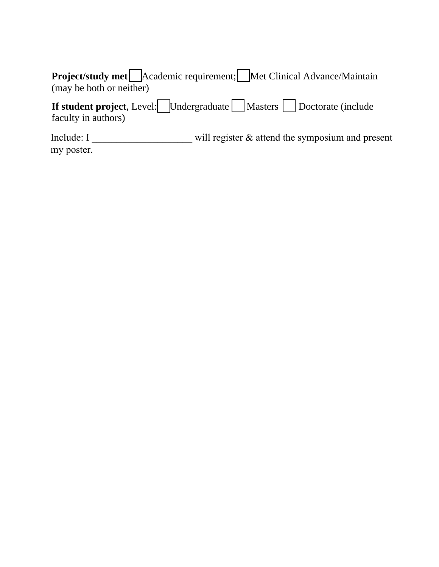| <b>Project/study met</b> Academic requirement; Met Clinical Advance/Maintain |  |
|------------------------------------------------------------------------------|--|
| (may be both or neither)                                                     |  |

**If student project**, Level: Undergraduate Masters Doctorate (include faculty in authors)

Include: I \_\_\_\_\_\_\_\_\_\_\_\_\_\_\_\_\_\_\_\_\_\_\_\_ will register & attend the symposium and present my poster.